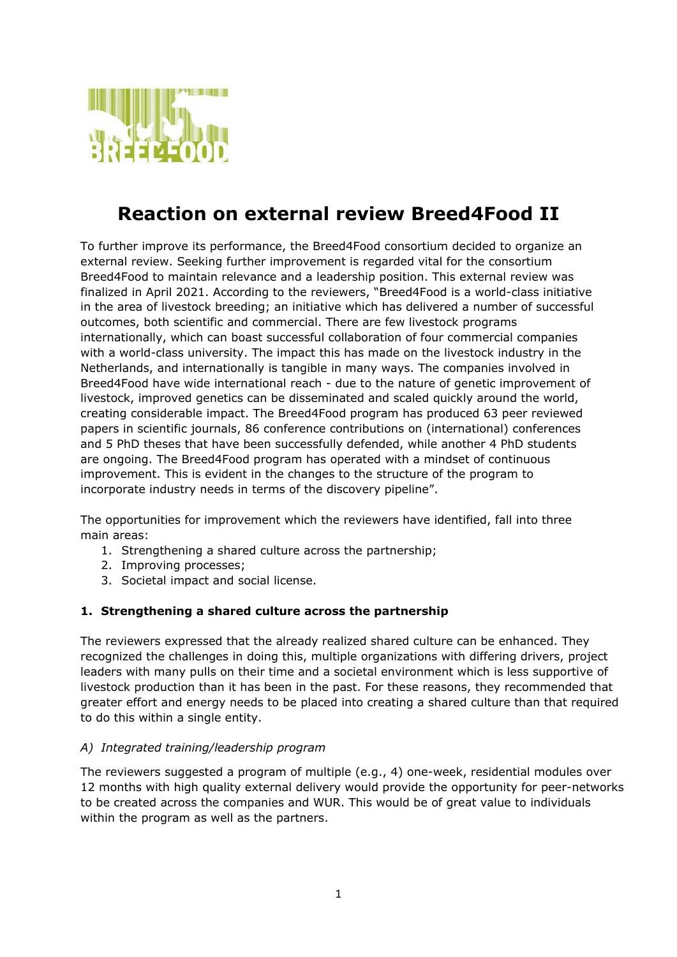

# **Reaction on external review Breed4Food II**

To further improve its performance, the Breed4Food consortium decided to organize an external review. Seeking further improvement is regarded vital for the consortium Breed4Food to maintain relevance and a leadership position. This external review was finalized in April 2021. According to the reviewers, "Breed4Food is a world-class initiative in the area of livestock breeding; an initiative which has delivered a number of successful outcomes, both scientific and commercial. There are few livestock programs internationally, which can boast successful collaboration of four commercial companies with a world-class university. The impact this has made on the livestock industry in the Netherlands, and internationally is tangible in many ways. The companies involved in Breed4Food have wide international reach - due to the nature of genetic improvement of livestock, improved genetics can be disseminated and scaled quickly around the world, creating considerable impact. The Breed4Food program has produced 63 peer reviewed papers in scientific journals, 86 conference contributions on (international) conferences and 5 PhD theses that have been successfully defended, while another 4 PhD students are ongoing. The Breed4Food program has operated with a mindset of continuous improvement. This is evident in the changes to the structure of the program to incorporate industry needs in terms of the discovery pipeline".

The opportunities for improvement which the reviewers have identified, fall into three main areas:

- 1. Strengthening a shared culture across the partnership;
- 2. Improving processes;
- 3. Societal impact and social license.

## **1. Strengthening a shared culture across the partnership**

The reviewers expressed that the already realized shared culture can be enhanced. They recognized the challenges in doing this, multiple organizations with differing drivers, project leaders with many pulls on their time and a societal environment which is less supportive of livestock production than it has been in the past. For these reasons, they recommended that greater effort and energy needs to be placed into creating a shared culture than that required to do this within a single entity.

## *A) Integrated training/leadership program*

The reviewers suggested a program of multiple (e.g., 4) one-week, residential modules over 12 months with high quality external delivery would provide the opportunity for peer-networks to be created across the companies and WUR. This would be of great value to individuals within the program as well as the partners.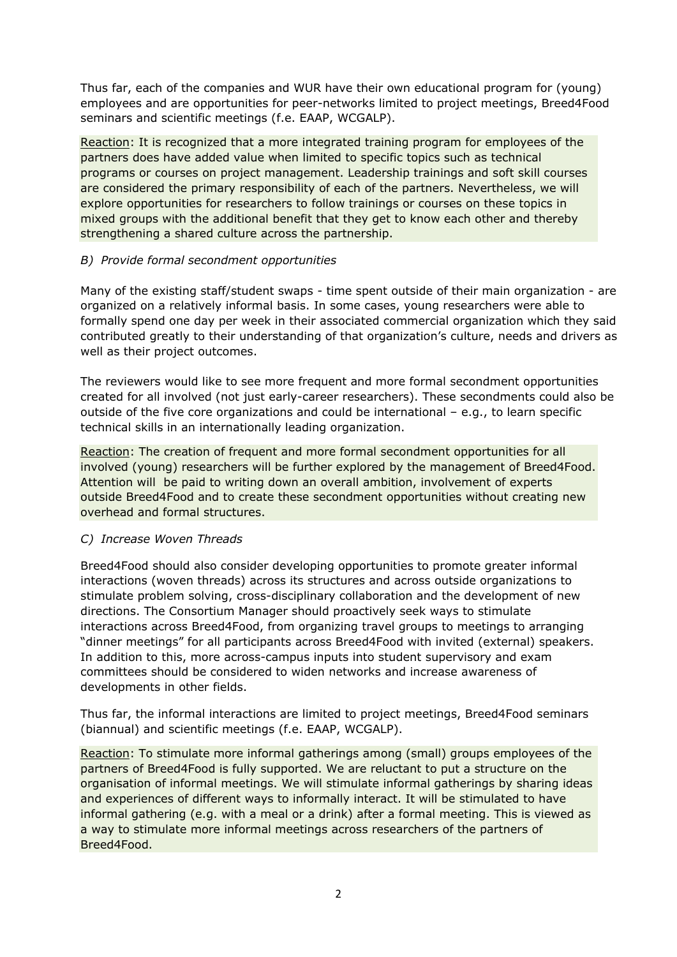Thus far, each of the companies and WUR have their own educational program for (young) employees and are opportunities for peer-networks limited to project meetings, Breed4Food seminars and scientific meetings (f.e. EAAP, WCGALP).

Reaction: It is recognized that a more integrated training program for employees of the partners does have added value when limited to specific topics such as technical programs or courses on project management. Leadership trainings and soft skill courses are considered the primary responsibility of each of the partners. Nevertheless, we will explore opportunities for researchers to follow trainings or courses on these topics in mixed groups with the additional benefit that they get to know each other and thereby strengthening a shared culture across the partnership.

## *B) Provide formal secondment opportunities*

Many of the existing staff/student swaps - time spent outside of their main organization - are organized on a relatively informal basis. In some cases, young researchers were able to formally spend one day per week in their associated commercial organization which they said contributed greatly to their understanding of that organization's culture, needs and drivers as well as their project outcomes.

The reviewers would like to see more frequent and more formal secondment opportunities created for all involved (not just early-career researchers). These secondments could also be outside of the five core organizations and could be international – e.g., to learn specific technical skills in an internationally leading organization.

Reaction: The creation of frequent and more formal secondment opportunities for all involved (young) researchers will be further explored by the management of Breed4Food. Attention will be paid to writing down an overall ambition, involvement of experts outside Breed4Food and to create these secondment opportunities without creating new overhead and formal structures.

## *C) Increase Woven Threads*

Breed4Food should also consider developing opportunities to promote greater informal interactions (woven threads) across its structures and across outside organizations to stimulate problem solving, cross-disciplinary collaboration and the development of new directions. The Consortium Manager should proactively seek ways to stimulate interactions across Breed4Food, from organizing travel groups to meetings to arranging "dinner meetings" for all participants across Breed4Food with invited (external) speakers. In addition to this, more across-campus inputs into student supervisory and exam committees should be considered to widen networks and increase awareness of developments in other fields.

Thus far, the informal interactions are limited to project meetings, Breed4Food seminars (biannual) and scientific meetings (f.e. EAAP, WCGALP).

Reaction: To stimulate more informal gatherings among (small) groups employees of the partners of Breed4Food is fully supported. We are reluctant to put a structure on the organisation of informal meetings. We will stimulate informal gatherings by sharing ideas and experiences of different ways to informally interact. It will be stimulated to have informal gathering (e.g. with a meal or a drink) after a formal meeting. This is viewed as a way to stimulate more informal meetings across researchers of the partners of Breed4Food.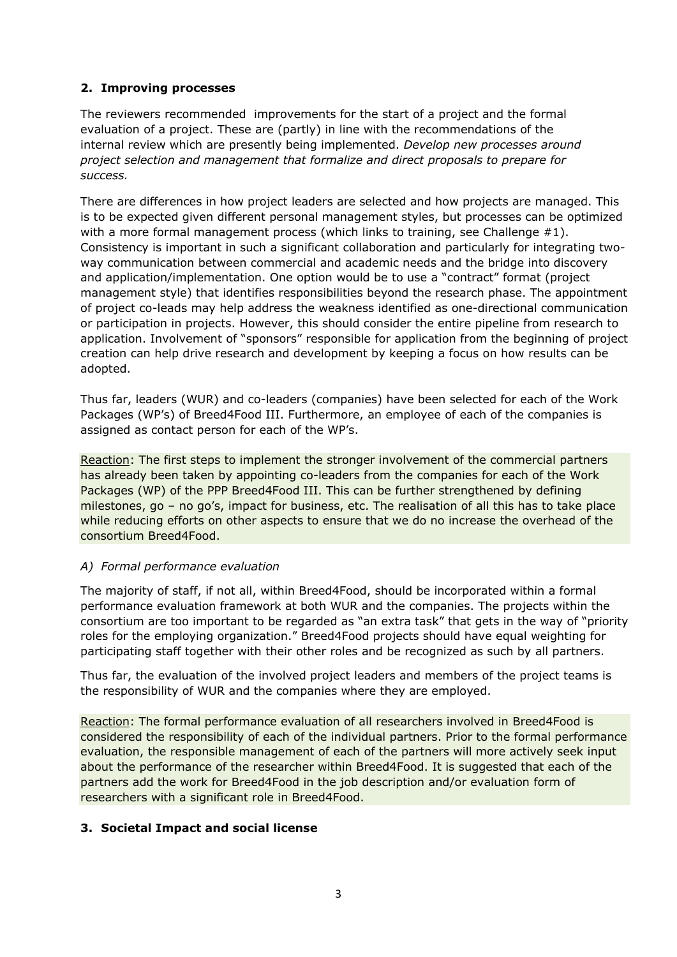## **2. Improving processes**

The reviewers recommended improvements for the start of a project and the formal evaluation of a project. These are (partly) in line with the recommendations of the internal review which are presently being implemented. *Develop new processes around project selection and management that formalize and direct proposals to prepare for success.*

There are differences in how project leaders are selected and how projects are managed. This is to be expected given different personal management styles, but processes can be optimized with a more formal management process (which links to training, see Challenge  $\#1$ ). Consistency is important in such a significant collaboration and particularly for integrating twoway communication between commercial and academic needs and the bridge into discovery and application/implementation. One option would be to use a "contract" format (project management style) that identifies responsibilities beyond the research phase. The appointment of project co-leads may help address the weakness identified as one-directional communication or participation in projects. However, this should consider the entire pipeline from research to application. Involvement of "sponsors" responsible for application from the beginning of project creation can help drive research and development by keeping a focus on how results can be adopted.

Thus far, leaders (WUR) and co-leaders (companies) have been selected for each of the Work Packages (WP's) of Breed4Food III. Furthermore, an employee of each of the companies is assigned as contact person for each of the WP's.

Reaction: The first steps to implement the stronger involvement of the commercial partners has already been taken by appointing co-leaders from the companies for each of the Work Packages (WP) of the PPP Breed4Food III. This can be further strengthened by defining milestones, go – no go's, impact for business, etc. The realisation of all this has to take place while reducing efforts on other aspects to ensure that we do no increase the overhead of the consortium Breed4Food.

## *A) Formal performance evaluation*

The majority of staff, if not all, within Breed4Food, should be incorporated within a formal performance evaluation framework at both WUR and the companies. The projects within the consortium are too important to be regarded as "an extra task" that gets in the way of "priority roles for the employing organization." Breed4Food projects should have equal weighting for participating staff together with their other roles and be recognized as such by all partners.

Thus far, the evaluation of the involved project leaders and members of the project teams is the responsibility of WUR and the companies where they are employed.

Reaction: The formal performance evaluation of all researchers involved in Breed4Food is considered the responsibility of each of the individual partners. Prior to the formal performance evaluation, the responsible management of each of the partners will more actively seek input about the performance of the researcher within Breed4Food. It is suggested that each of the partners add the work for Breed4Food in the job description and/or evaluation form of researchers with a significant role in Breed4Food.

## **3. Societal Impact and social license**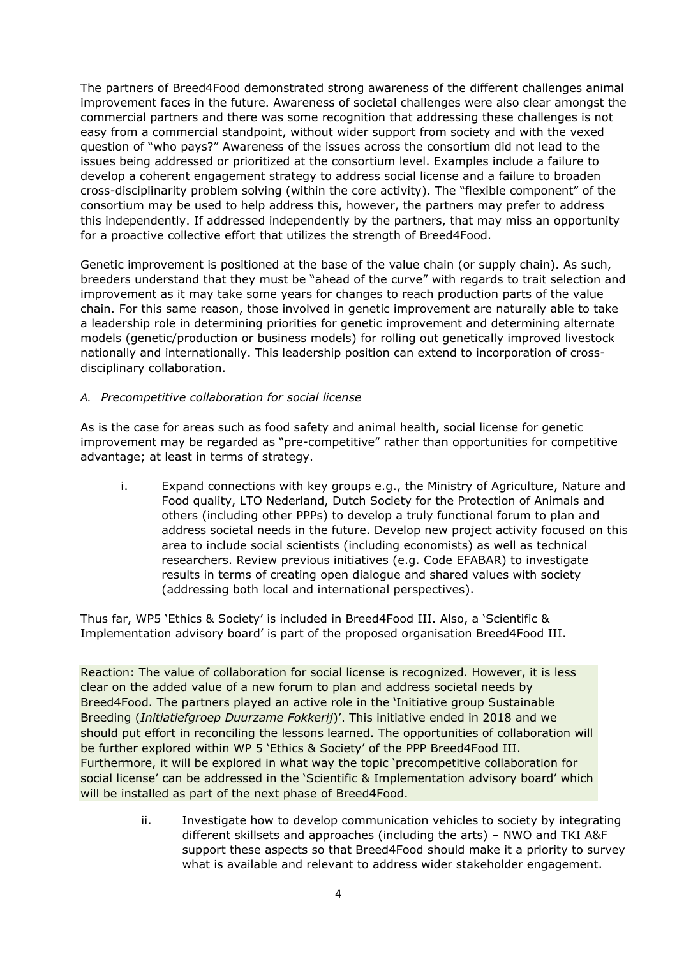The partners of Breed4Food demonstrated strong awareness of the different challenges animal improvement faces in the future. Awareness of societal challenges were also clear amongst the commercial partners and there was some recognition that addressing these challenges is not easy from a commercial standpoint, without wider support from society and with the vexed question of "who pays?" Awareness of the issues across the consortium did not lead to the issues being addressed or prioritized at the consortium level. Examples include a failure to develop a coherent engagement strategy to address social license and a failure to broaden cross-disciplinarity problem solving (within the core activity). The "flexible component" of the consortium may be used to help address this, however, the partners may prefer to address this independently. If addressed independently by the partners, that may miss an opportunity for a proactive collective effort that utilizes the strength of Breed4Food.

Genetic improvement is positioned at the base of the value chain (or supply chain). As such, breeders understand that they must be "ahead of the curve" with regards to trait selection and improvement as it may take some years for changes to reach production parts of the value chain. For this same reason, those involved in genetic improvement are naturally able to take a leadership role in determining priorities for genetic improvement and determining alternate models (genetic/production or business models) for rolling out genetically improved livestock nationally and internationally. This leadership position can extend to incorporation of crossdisciplinary collaboration.

## *A. Precompetitive collaboration for social license*

As is the case for areas such as food safety and animal health, social license for genetic improvement may be regarded as "pre-competitive" rather than opportunities for competitive advantage; at least in terms of strategy.

i. Expand connections with key groups e.g., the Ministry of Agriculture, Nature and Food quality, LTO Nederland, Dutch Society for the Protection of Animals and others (including other PPPs) to develop a truly functional forum to plan and address societal needs in the future. Develop new project activity focused on this area to include social scientists (including economists) as well as technical researchers. Review previous initiatives (e.g. Code EFABAR) to investigate results in terms of creating open dialogue and shared values with society (addressing both local and international perspectives).

Thus far, WP5 'Ethics & Society' is included in Breed4Food III. Also, a 'Scientific & Implementation advisory board' is part of the proposed organisation Breed4Food III.

Reaction: The value of collaboration for social license is recognized. However, it is less clear on the added value of a new forum to plan and address societal needs by Breed4Food. The partners played an active role in the 'Initiative group Sustainable Breeding (*Initiatiefgroep Duurzame Fokkerij*)'. This initiative ended in 2018 and we should put effort in reconciling the lessons learned. The opportunities of collaboration will be further explored within WP 5 'Ethics & Society' of the PPP Breed4Food III. Furthermore, it will be explored in what way the topic 'precompetitive collaboration for social license' can be addressed in the 'Scientific & Implementation advisory board' which will be installed as part of the next phase of Breed4Food.

> ii. Investigate how to develop communication vehicles to society by integrating different skillsets and approaches (including the arts) – NWO and TKI A&F support these aspects so that Breed4Food should make it a priority to survey what is available and relevant to address wider stakeholder engagement.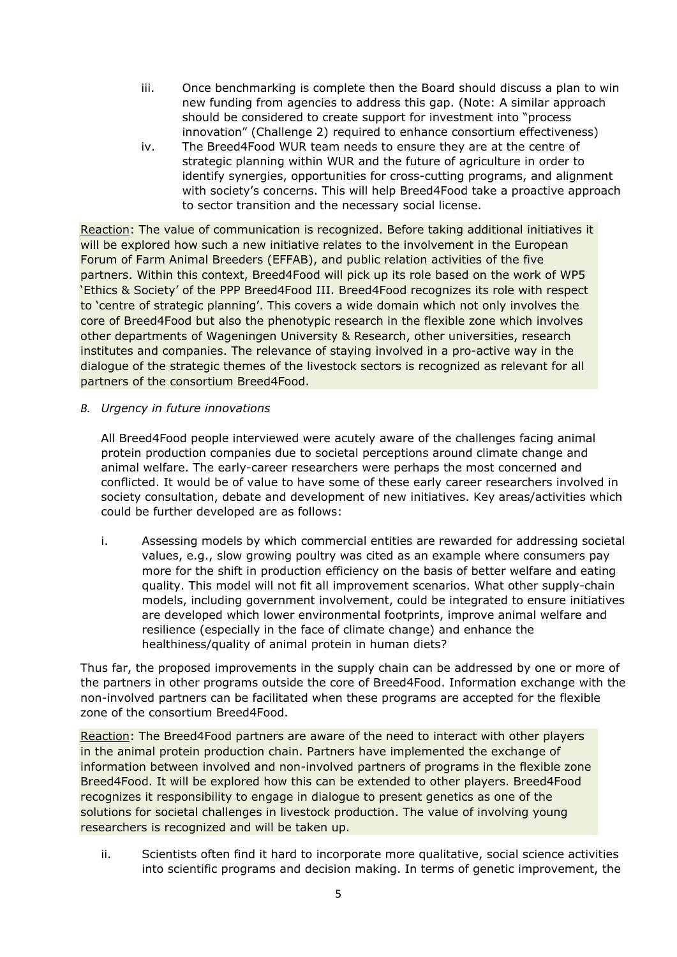- iii. Once benchmarking is complete then the Board should discuss a plan to win new funding from agencies to address this gap. (Note: A similar approach should be considered to create support for investment into "process innovation" (Challenge 2) required to enhance consortium effectiveness)
- iv. The Breed4Food WUR team needs to ensure they are at the centre of strategic planning within WUR and the future of agriculture in order to identify synergies, opportunities for cross-cutting programs, and alignment with society's concerns. This will help Breed4Food take a proactive approach to sector transition and the necessary social license.

Reaction: The value of communication is recognized. Before taking additional initiatives it will be explored how such a new initiative relates to the involvement in the European Forum of Farm Animal Breeders (EFFAB), and public relation activities of the five partners. Within this context, Breed4Food will pick up its role based on the work of WP5 'Ethics & Society' of the PPP Breed4Food III. Breed4Food recognizes its role with respect to 'centre of strategic planning'. This covers a wide domain which not only involves the core of Breed4Food but also the phenotypic research in the flexible zone which involves other departments of Wageningen University & Research, other universities, research institutes and companies. The relevance of staying involved in a pro-active way in the dialogue of the strategic themes of the livestock sectors is recognized as relevant for all partners of the consortium Breed4Food.

*B. Urgency in future innovations*

All Breed4Food people interviewed were acutely aware of the challenges facing animal protein production companies due to societal perceptions around climate change and animal welfare. The early-career researchers were perhaps the most concerned and conflicted. It would be of value to have some of these early career researchers involved in society consultation, debate and development of new initiatives. Key areas/activities which could be further developed are as follows:

i. Assessing models by which commercial entities are rewarded for addressing societal values, e.g., slow growing poultry was cited as an example where consumers pay more for the shift in production efficiency on the basis of better welfare and eating quality. This model will not fit all improvement scenarios. What other supply-chain models, including government involvement, could be integrated to ensure initiatives are developed which lower environmental footprints, improve animal welfare and resilience (especially in the face of climate change) and enhance the healthiness/quality of animal protein in human diets?

Thus far, the proposed improvements in the supply chain can be addressed by one or more of the partners in other programs outside the core of Breed4Food. Information exchange with the non-involved partners can be facilitated when these programs are accepted for the flexible zone of the consortium Breed4Food.

Reaction: The Breed4Food partners are aware of the need to interact with other players in the animal protein production chain. Partners have implemented the exchange of information between involved and non-involved partners of programs in the flexible zone Breed4Food. It will be explored how this can be extended to other players. Breed4Food recognizes it responsibility to engage in dialogue to present genetics as one of the solutions for societal challenges in livestock production. The value of involving young researchers is recognized and will be taken up.

ii. Scientists often find it hard to incorporate more qualitative, social science activities into scientific programs and decision making. In terms of genetic improvement, the